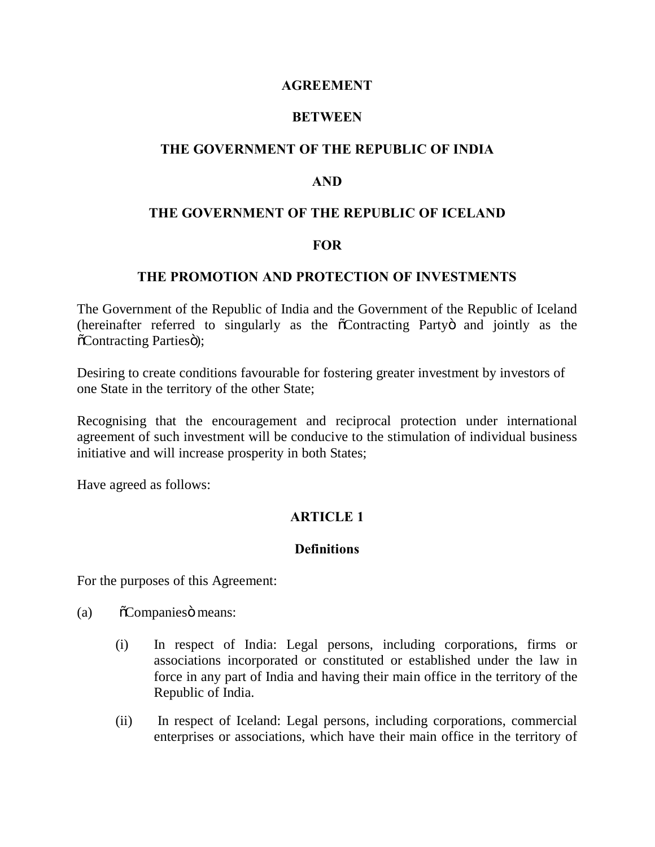### **AGREEMENT**

## **BETWEEN**

## **THE GOVERNMENT OF THE REPUBLIC OF INDIA**

## **AND**

### **THE GOVERNMENT OF THE REPUBLIC OF ICELAND**

#### **FOR**

### **THE PROMOTION AND PROTECTION OF INVESTMENTS**

The Government of the Republic of India and the Government of the Republic of Iceland (hereinafter referred to singularly as the  $\tilde{c}$ Contracting Partyo and jointly as the  $\tilde{\text{C}}$ Ontracting Partiesö);

Desiring to create conditions favourable for fostering greater investment by investors of one State in the territory of the other State;

Recognising that the encouragement and reciprocal protection under international agreement of such investment will be conducive to the stimulation of individual business initiative and will increase prosperity in both States;

Have agreed as follows:

# **ARTICLE 1**

### **Definitions**

For the purposes of this Agreement:

- (a)  $\tilde{O}$ Companies *i* means:
	- (i) In respect of India: Legal persons, including corporations, firms or associations incorporated or constituted or established under the law in force in any part of India and having their main office in the territory of the Republic of India.
	- (ii) In respect of Iceland: Legal persons, including corporations, commercial enterprises or associations, which have their main office in the territory of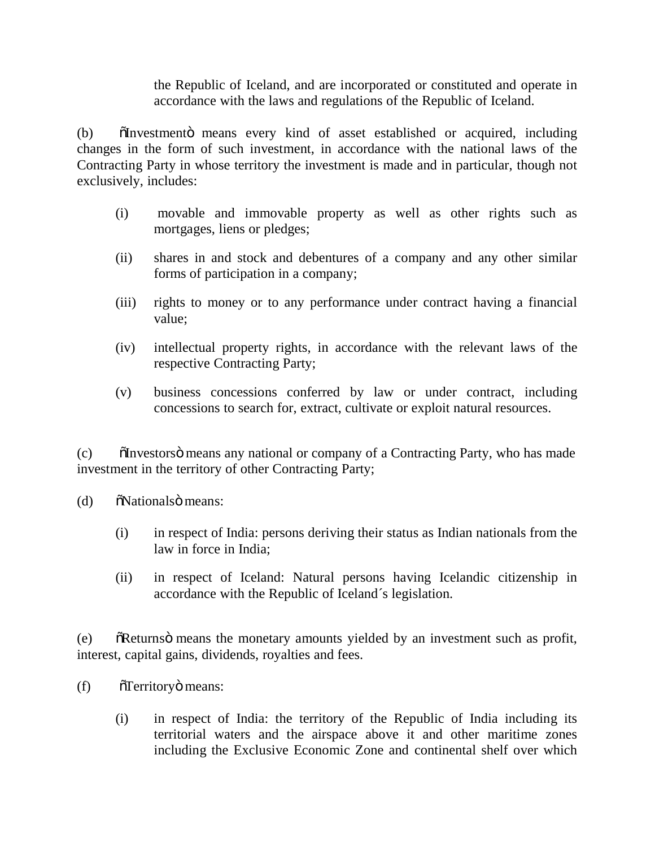the Republic of Iceland, and are incorporated or constituted and operate in accordance with the laws and regulations of the Republic of Iceland.

(b)  $\tilde{\text{o}}$  Dinvestmento means every kind of asset established or acquired, including changes in the form of such investment, in accordance with the national laws of the Contracting Party in whose territory the investment is made and in particular, though not exclusively, includes:

- (i) movable and immovable property as well as other rights such as mortgages, liens or pledges;
- (ii) shares in and stock and debentures of a company and any other similar forms of participation in a company;
- (iii) rights to money or to any performance under contract having a financial value;
- (iv) intellectual property rights, in accordance with the relevant laws of the respective Contracting Party;
- (v) business concessions conferred by law or under contract, including concessions to search for, extract, cultivate or exploit natural resources.

(c) —  $\tilde{\text{O}}$  investors cmeans any national or company of a Contracting Party, who has made investment in the territory of other Contracting Party;

- (d)  $\tilde{\text{o}}$ Nationals means:
	- (i) in respect of India: persons deriving their status as Indian nationals from the law in force in India;
	- (ii) in respect of Iceland: Natural persons having Icelandic citizenship in accordance with the Republic of Iceland´s legislation.

(e) <sup>6</sup>Returns i means the monetary amounts yielded by an investment such as profit, interest, capital gains, dividends, royalties and fees.

- (f)  $\tilde{0}$  Territory $\tilde{0}$  means:
	- (i) in respect of India: the territory of the Republic of India including its territorial waters and the airspace above it and other maritime zones including the Exclusive Economic Zone and continental shelf over which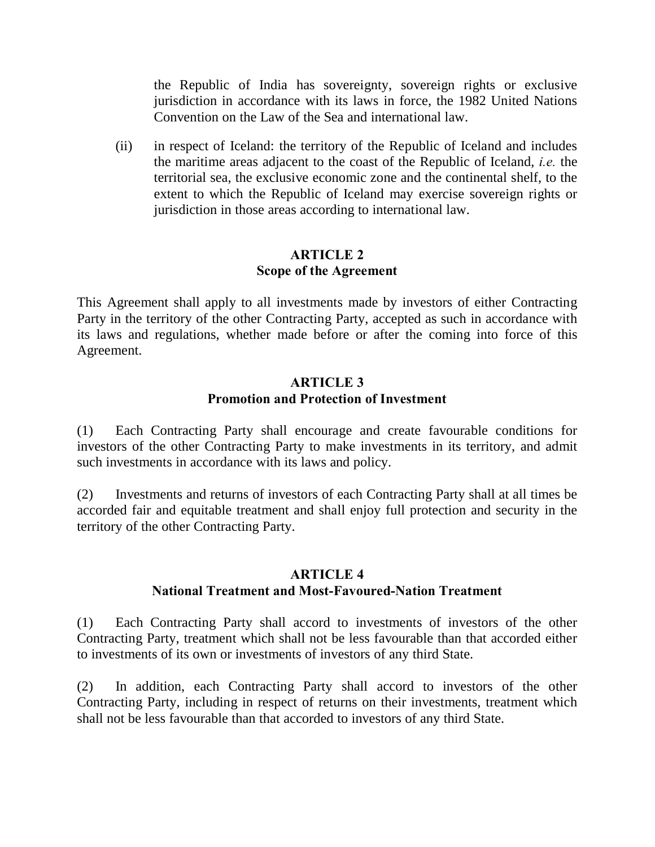the Republic of India has sovereignty, sovereign rights or exclusive jurisdiction in accordance with its laws in force, the 1982 United Nations Convention on the Law of the Sea and international law.

(ii) in respect of Iceland: the territory of the Republic of Iceland and includes the maritime areas adjacent to the coast of the Republic of Iceland, *i.e.* the territorial sea, the exclusive economic zone and the continental shelf, to the extent to which the Republic of Iceland may exercise sovereign rights or jurisdiction in those areas according to international law.

### **ARTICLE 2 Scope of the Agreement**

This Agreement shall apply to all investments made by investors of either Contracting Party in the territory of the other Contracting Party, accepted as such in accordance with its laws and regulations, whether made before or after the coming into force of this Agreement.

## **ARTICLE 3 Promotion and Protection of Investment**

(1) Each Contracting Party shall encourage and create favourable conditions for investors of the other Contracting Party to make investments in its territory, and admit such investments in accordance with its laws and policy.

(2) Investments and returns of investors of each Contracting Party shall at all times be accorded fair and equitable treatment and shall enjoy full protection and security in the territory of the other Contracting Party.

# **ARTICLE 4 National Treatment and Most-Favoured-Nation Treatment**

(1) Each Contracting Party shall accord to investments of investors of the other Contracting Party, treatment which shall not be less favourable than that accorded either to investments of its own or investments of investors of any third State.

(2) In addition, each Contracting Party shall accord to investors of the other Contracting Party, including in respect of returns on their investments, treatment which shall not be less favourable than that accorded to investors of any third State.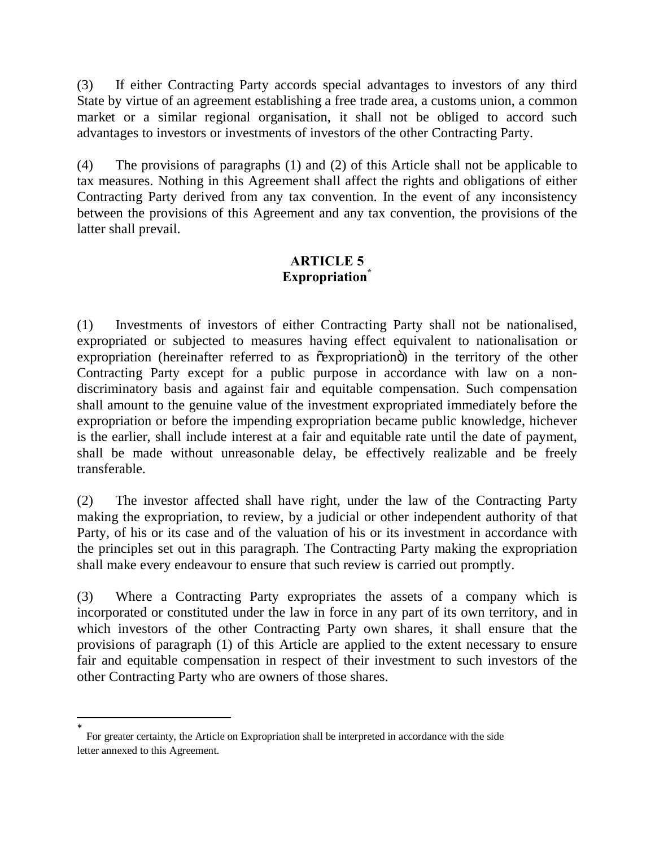(3) If either Contracting Party accords special advantages to investors of any third State by virtue of an agreement establishing a free trade area, a customs union, a common market or a similar regional organisation, it shall not be obliged to accord such advantages to investors or investments of investors of the other Contracting Party.

(4) The provisions of paragraphs (1) and (2) of this Article shall not be applicable to tax measures. Nothing in this Agreement shall affect the rights and obligations of either Contracting Party derived from any tax convention. In the event of any inconsistency between the provisions of this Agreement and any tax convention, the provisions of the latter shall prevail.

# **ARTICLE 5 Expropriation\***

(1) Investments of investors of either Contracting Party shall not be nationalised, expropriated or subjected to measures having effect equivalent to nationalisation or expropriation (hereinafter referred to as  $\tilde{\alpha}$  expropriation  $\ddot{\alpha}$ ) in the territory of the other Contracting Party except for a public purpose in accordance with law on a nondiscriminatory basis and against fair and equitable compensation. Such compensation shall amount to the genuine value of the investment expropriated immediately before the expropriation or before the impending expropriation became public knowledge, hichever is the earlier, shall include interest at a fair and equitable rate until the date of payment, shall be made without unreasonable delay, be effectively realizable and be freely transferable.

(2) The investor affected shall have right, under the law of the Contracting Party making the expropriation, to review, by a judicial or other independent authority of that Party, of his or its case and of the valuation of his or its investment in accordance with the principles set out in this paragraph. The Contracting Party making the expropriation shall make every endeavour to ensure that such review is carried out promptly.

(3) Where a Contracting Party expropriates the assets of a company which is incorporated or constituted under the law in force in any part of its own territory, and in which investors of the other Contracting Party own shares, it shall ensure that the provisions of paragraph (1) of this Article are applied to the extent necessary to ensure fair and equitable compensation in respect of their investment to such investors of the other Contracting Party who are owners of those shares.

For greater certainty, the Article on Expropriation shall be interpreted in accordance with the side letter annexed to this Agreement.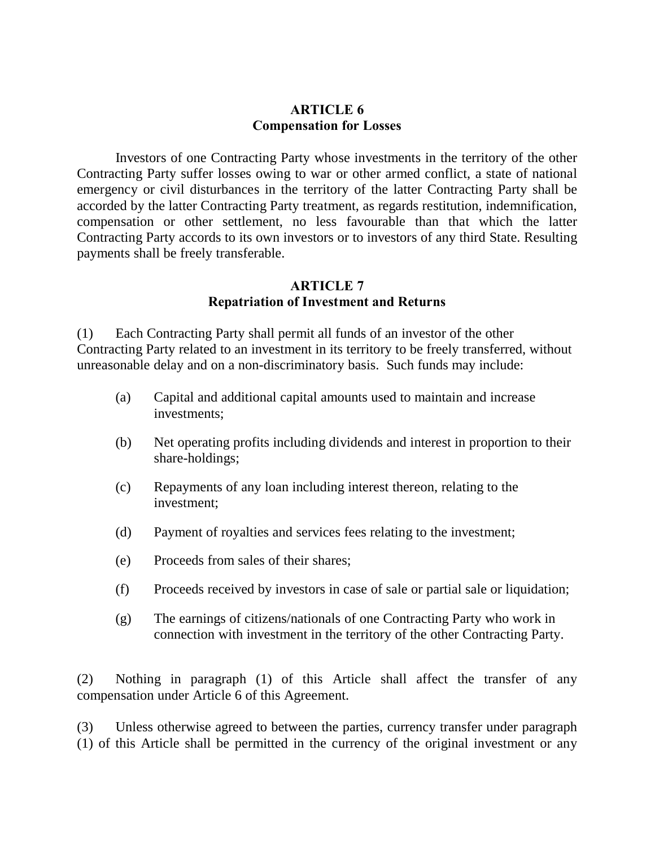# **ARTICLE 6 Compensation for Losses**

Investors of one Contracting Party whose investments in the territory of the other Contracting Party suffer losses owing to war or other armed conflict, a state of national emergency or civil disturbances in the territory of the latter Contracting Party shall be accorded by the latter Contracting Party treatment, as regards restitution, indemnification, compensation or other settlement, no less favourable than that which the latter Contracting Party accords to its own investors or to investors of any third State. Resulting payments shall be freely transferable.

### **ARTICLE 7 Repatriation of Investment and Returns**

(1) Each Contracting Party shall permit all funds of an investor of the other Contracting Party related to an investment in its territory to be freely transferred, without unreasonable delay and on a non-discriminatory basis. Such funds may include:

- (a) Capital and additional capital amounts used to maintain and increase investments;
- (b) Net operating profits including dividends and interest in proportion to their share-holdings;
- (c) Repayments of any loan including interest thereon, relating to the investment;
- (d) Payment of royalties and services fees relating to the investment;
- (e) Proceeds from sales of their shares;
- (f) Proceeds received by investors in case of sale or partial sale or liquidation;
- (g) The earnings of citizens/nationals of one Contracting Party who work in connection with investment in the territory of the other Contracting Party.

(2) Nothing in paragraph (1) of this Article shall affect the transfer of any compensation under Article 6 of this Agreement.

(3) Unless otherwise agreed to between the parties, currency transfer under paragraph (1) of this Article shall be permitted in the currency of the original investment or any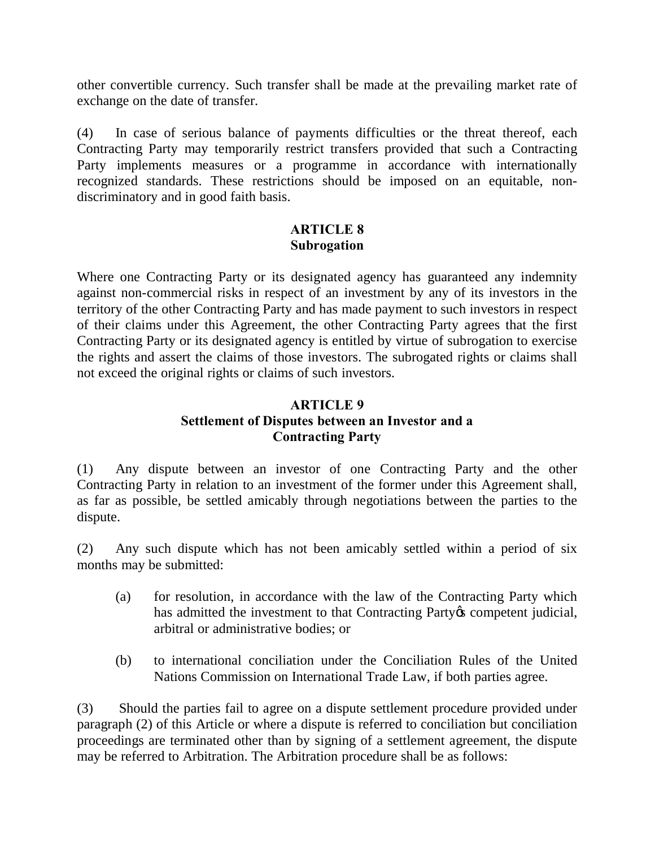other convertible currency. Such transfer shall be made at the prevailing market rate of exchange on the date of transfer.

(4) In case of serious balance of payments difficulties or the threat thereof, each Contracting Party may temporarily restrict transfers provided that such a Contracting Party implements measures or a programme in accordance with internationally recognized standards. These restrictions should be imposed on an equitable, nondiscriminatory and in good faith basis.

## **ARTICLE 8 Subrogation**

Where one Contracting Party or its designated agency has guaranteed any indemnity against non-commercial risks in respect of an investment by any of its investors in the territory of the other Contracting Party and has made payment to such investors in respect of their claims under this Agreement, the other Contracting Party agrees that the first Contracting Party or its designated agency is entitled by virtue of subrogation to exercise the rights and assert the claims of those investors. The subrogated rights or claims shall not exceed the original rights or claims of such investors.

# **ARTICLE 9 Settlement of Disputes between an Investor and a Contracting Party**

(1) Any dispute between an investor of one Contracting Party and the other Contracting Party in relation to an investment of the former under this Agreement shall, as far as possible, be settled amicably through negotiations between the parties to the dispute.

(2) Any such dispute which has not been amicably settled within a period of six months may be submitted:

- (a) for resolution, in accordance with the law of the Contracting Party which has admitted the investment to that Contracting Party & competent judicial, arbitral or administrative bodies; or
- (b) to international conciliation under the Conciliation Rules of the United Nations Commission on International Trade Law, if both parties agree.

(3) Should the parties fail to agree on a dispute settlement procedure provided under paragraph (2) of this Article or where a dispute is referred to conciliation but conciliation proceedings are terminated other than by signing of a settlement agreement, the dispute may be referred to Arbitration. The Arbitration procedure shall be as follows: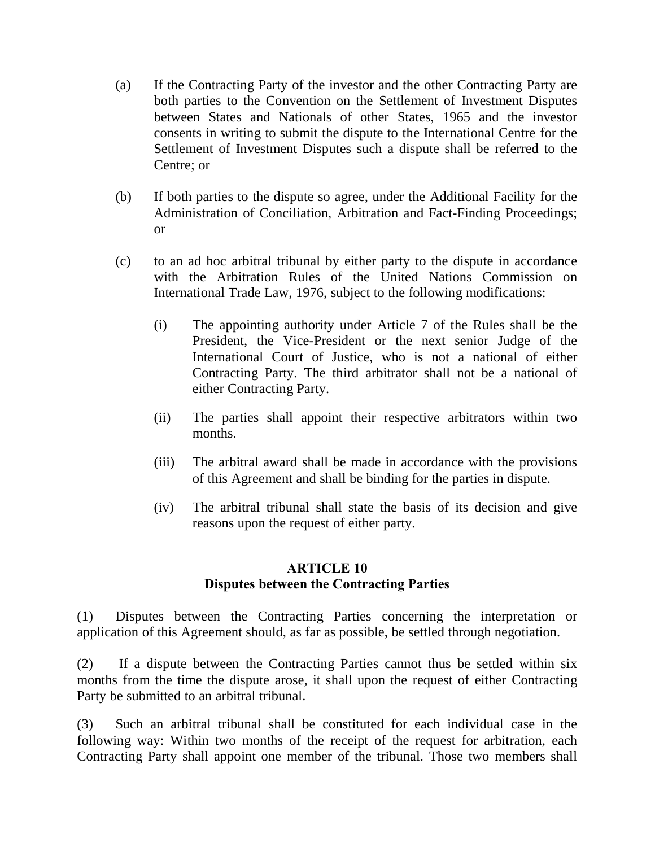- (a) If the Contracting Party of the investor and the other Contracting Party are both parties to the Convention on the Settlement of Investment Disputes between States and Nationals of other States, 1965 and the investor consents in writing to submit the dispute to the International Centre for the Settlement of Investment Disputes such a dispute shall be referred to the Centre; or
- (b) If both parties to the dispute so agree, under the Additional Facility for the Administration of Conciliation, Arbitration and Fact-Finding Proceedings; or
- (c) to an ad hoc arbitral tribunal by either party to the dispute in accordance with the Arbitration Rules of the United Nations Commission on International Trade Law, 1976, subject to the following modifications:
	- (i) The appointing authority under Article 7 of the Rules shall be the President, the Vice-President or the next senior Judge of the International Court of Justice, who is not a national of either Contracting Party. The third arbitrator shall not be a national of either Contracting Party.
	- (ii) The parties shall appoint their respective arbitrators within two months.
	- (iii) The arbitral award shall be made in accordance with the provisions of this Agreement and shall be binding for the parties in dispute.
	- (iv) The arbitral tribunal shall state the basis of its decision and give reasons upon the request of either party.

# **ARTICLE 10 Disputes between the Contracting Parties**

(1) Disputes between the Contracting Parties concerning the interpretation or application of this Agreement should, as far as possible, be settled through negotiation.

(2) If a dispute between the Contracting Parties cannot thus be settled within six months from the time the dispute arose, it shall upon the request of either Contracting Party be submitted to an arbitral tribunal.

(3) Such an arbitral tribunal shall be constituted for each individual case in the following way: Within two months of the receipt of the request for arbitration, each Contracting Party shall appoint one member of the tribunal. Those two members shall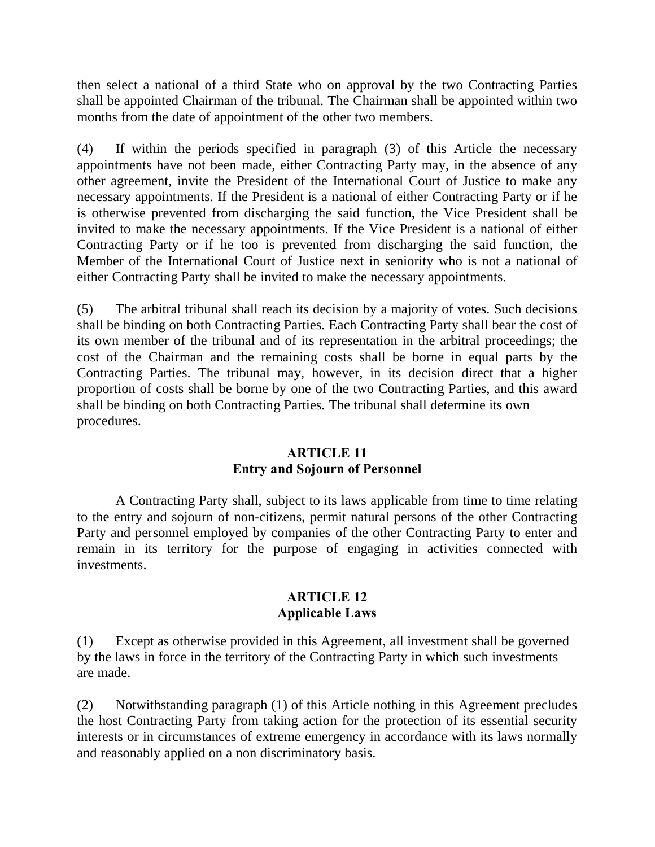then select a national of a third State who on approval by the two Contracting Parties shall be appointed Chairman of the tribunal. The Chairman shall be appointed within two months from the date of appointment of the other two members.

(4) If within the periods specified in paragraph (3) of this Article the necessary appointments have not been made, either Contracting Party may, in the absence of any other agreement, invite the President of the International Court of Justice to make any necessary appointments. If the President is a national of either Contracting Party or if he is otherwise prevented from discharging the said function, the Vice President shall be invited to make the necessary appointments. If the Vice President is a national of either Contracting Party or if he too is prevented from discharging the said function, the Member of the International Court of Justice next in seniority who is not a national of either Contracting Party shall be invited to make the necessary appointments.

(5) The arbitral tribunal shall reach its decision by a majority of votes. Such decisions shall be binding on both Contracting Parties. Each Contracting Party shall bear the cost of its own member of the tribunal and of its representation in the arbitral proceedings; the cost of the Chairman and the remaining costs shall be borne in equal parts by the Contracting Parties. The tribunal may, however, in its decision direct that a higher proportion of costs shall be borne by one of the two Contracting Parties, and this award shall be binding on both Contracting Parties. The tribunal shall determine its own procedures.

## **ARTICLE 11 Entry and Sojourn of Personnel**

A Contracting Party shall, subject to its laws applicable from time to time relating to the entry and sojourn of non-citizens, permit natural persons of the other Contracting Party and personnel employed by companies of the other Contracting Party to enter and remain in its territory for the purpose of engaging in activities connected with investments.

# **ARTICLE 12 Applicable Laws**

(1) Except as otherwise provided in this Agreement, all investment shall be governed by the laws in force in the territory of the Contracting Party in which such investments are made.

(2) Notwithstanding paragraph (1) of this Article nothing in this Agreement precludes the host Contracting Party from taking action for the protection of its essential security interests or in circumstances of extreme emergency in accordance with its laws normally and reasonably applied on a non discriminatory basis.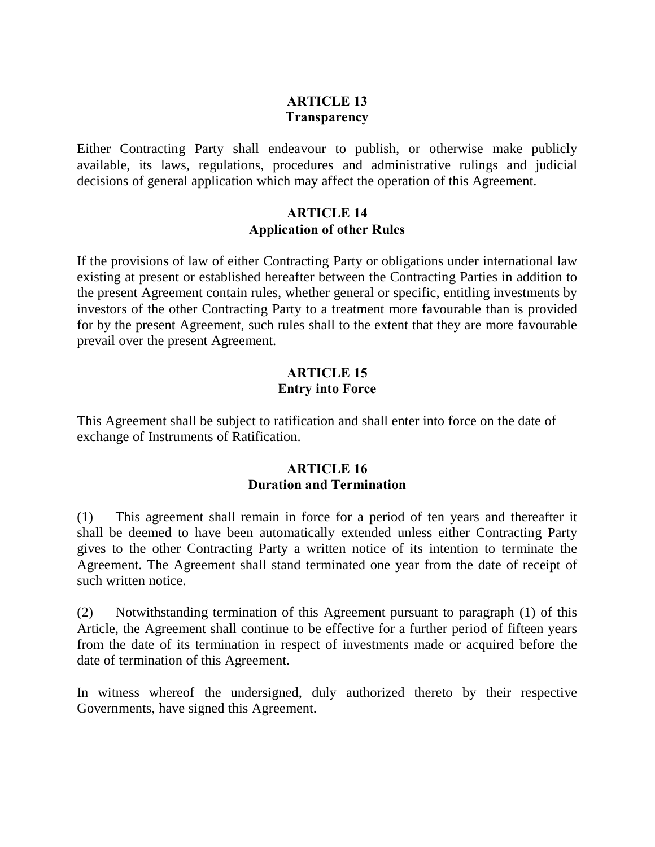# **ARTICLE 13 Transparency**

Either Contracting Party shall endeavour to publish, or otherwise make publicly available, its laws, regulations, procedures and administrative rulings and judicial decisions of general application which may affect the operation of this Agreement.

# **ARTICLE 14 Application of other Rules**

If the provisions of law of either Contracting Party or obligations under international law existing at present or established hereafter between the Contracting Parties in addition to the present Agreement contain rules, whether general or specific, entitling investments by investors of the other Contracting Party to a treatment more favourable than is provided for by the present Agreement, such rules shall to the extent that they are more favourable prevail over the present Agreement.

## **ARTICLE 15 Entry into Force**

This Agreement shall be subject to ratification and shall enter into force on the date of exchange of Instruments of Ratification.

# **ARTICLE 16 Duration and Termination**

(1) This agreement shall remain in force for a period of ten years and thereafter it shall be deemed to have been automatically extended unless either Contracting Party gives to the other Contracting Party a written notice of its intention to terminate the Agreement. The Agreement shall stand terminated one year from the date of receipt of such written notice.

(2) Notwithstanding termination of this Agreement pursuant to paragraph (1) of this Article, the Agreement shall continue to be effective for a further period of fifteen years from the date of its termination in respect of investments made or acquired before the date of termination of this Agreement.

In witness whereof the undersigned, duly authorized thereto by their respective Governments, have signed this Agreement.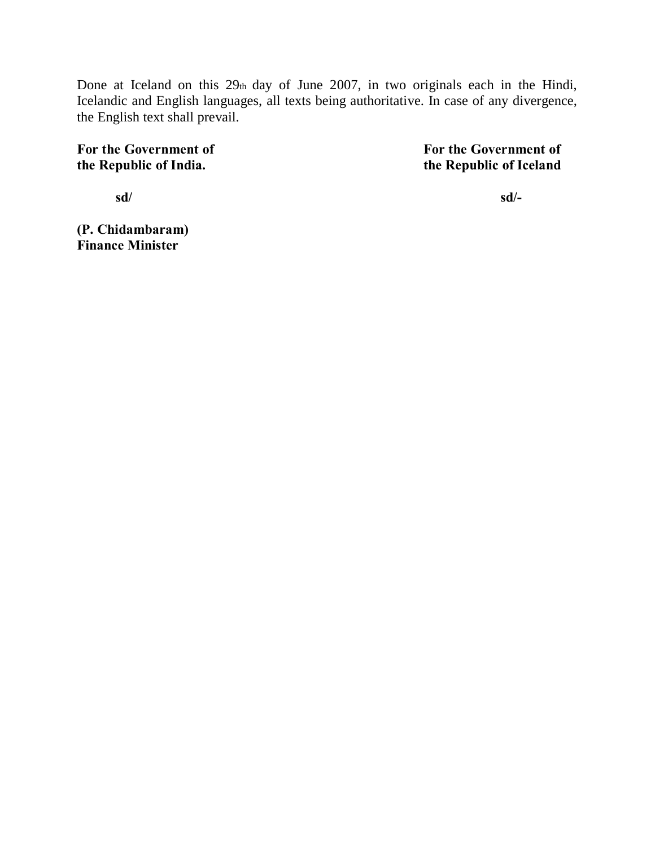Done at Iceland on this 29th day of June 2007, in two originals each in the Hindi, Icelandic and English languages, all texts being authoritative. In case of any divergence, the English text shall prevail.

For the Government of **For the Government of** 

**the Republic of India. the Republic of Iceland**

**sd/ sd/-**

**(P. Chidambaram) Finance Minister**